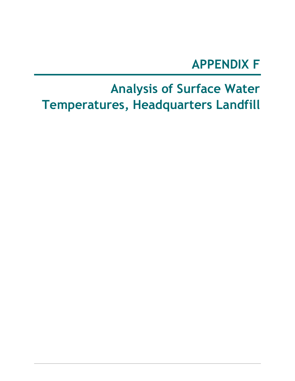## **APPENDIX F**

# **Analysis of Surface Water Temperatures, Headquarters Landfill**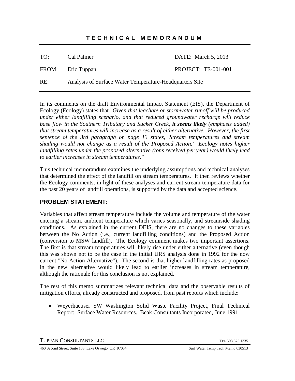## **TECHNICAL MEMORANDUM**

TO: Cal Palmer DATE: March 5, 2013

FROM: Eric Tuppan PROJECT: TE-001-001

RE: Analysis of Surface Water Temperature-Headquarters Site

In its comments on the draft Environmental Impact Statement (EIS), the Department of Ecology (Ecology) states that "*Given that leachate or stormwater runoff will be produced under either landfilling scenario, and that reduced groundwater recharge will reduce base flow in the Southern Tributary and Sucker Creek, it seems likely (emphasis added) that stream temperatures will increase as a result of either alternative. However, the first sentence of the 3rd paragraph on page 13 states, 'Stream temperatures and stream shading would not change as a result of the Proposed Action.' Ecology notes higher landfilling rates under the proposed alternative (tons received per year) would likely lead to earlier increases in stream temperatures."*

This technical memorandum examines the underlying assumptions and technical analyses that determined the effect of the landfill on stream temperatures. It then reviews whether the Ecology comments, in light of these analyses and current stream temperature data for the past 20 years of landfill operations, is supported by the data and accepted science.

## **PROBLEM STATEMENT:**

Variables that affect stream temperature include the volume and temperature of the water entering a stream, ambient temperature which varies seasonally, and streamside shading conditions. As explained in the current DEIS, there are no changes to these variables between the No Action (i.e., current landfilling conditions) and the Proposed Action (conversion to MSW landfill). The Ecology comment makes two important assertions. The first is that stream temperatures will likely rise under either alternative (even though this was shown not to be the case in the initial URS analysis done in 1992 for the now current "No Action Alternative"). The second is that higher landfilling rates as proposed in the new alternative would likely lead to earlier increases in stream temperature, although the rationale for this conclusion is not explained.

The rest of this memo summarizes relevant technical data and the observable results of mitigation efforts, already constructed and proposed, from past reports which include:

• Weyerhaeuser SW Washington Solid Waste Facility Project, Final Technical Report: Surface Water Resources. Beak Consultants Incorporated, June 1991.

TUPPAN CONSULTANTS LLC TEL 503.675.1335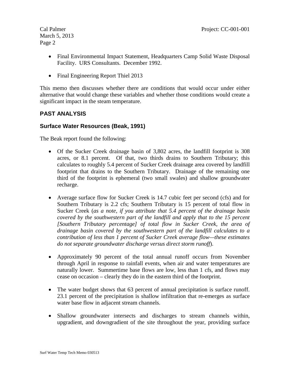- Final Environmental Impact Statement, Headquarters Camp Solid Waste Disposal Facility. URS Consultants. December 1992.
- Final Engineering Report Thiel 2013

This memo then discusses whether there are conditions that would occur under either alternative that would change these variables and whether those conditions would create a significant impact in the steam temperature.

## **PAST ANALYSIS**

## **Surface Water Resources (Beak, 1991)**

The Beak report found the following:

- Of the Sucker Creek drainage basin of 3,802 acres, the landfill footprint is 308 acres, or 8.1 percent. Of that, two thirds drains to Southern Tributary; this calculates to roughly 5.4 percent of Sucker Creek drainage area covered by landfill footprint that drains to the Southern Tributary. Drainage of the remaining one third of the footprint is ephemeral (two small swales) and shallow groundwater recharge.
- Average surface flow for Sucker Creek is 14.7 cubic feet per second (cfs) and for Southern Tributary is 2.2 cfs; Southern Tributary is 15 percent of total flow in Sucker Creek (*as a note, if you attribute that 5.4 percent of the drainage basin covered by the southwestern part of the landfill and apply that to the 15 percent [Southern Tributary percentage] of total flow in Sucker Creek, the area of drainage basin covered by the southwestern part of the landfill calculates to a contribution of less than 1 percent of Sucker Creek average flow—these estimates do not separate groundwater discharge versus direct storm runoff*).
- Approximately 90 percent of the total annual runoff occurs from November through April in response to rainfall events, when air and water temperatures are naturally lower. Summertime base flows are low, less than 1 cfs, and flows may cease on occasion – clearly they do in the eastern third of the footprint.
- The water budget shows that 63 percent of annual precipitation is surface runoff. 23.1 percent of the precipitation is shallow infiltration that re-emerges as surface water base flow in adjacent stream channels.
- Shallow groundwater intersects and discharges to stream channels within, upgradient, and downgradient of the site throughout the year, providing surface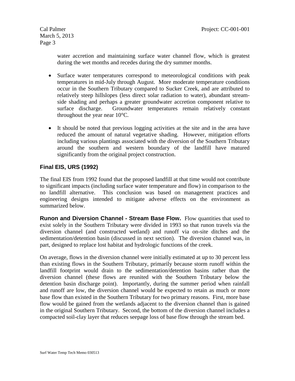water accretion and maintaining surface water channel flow, which is greatest during the wet months and recedes during the dry summer months.

- Surface water temperatures correspond to meteorological conditions with peak temperatures in mid-July through August. More moderate temperature conditions occur in the Southern Tributary compared to Sucker Creek, and are attributed to relatively steep hillslopes (less direct solar radiation to water), abundant streamside shading and perhaps a greater groundwater accretion component relative to surface discharge. Groundwater temperatures remain relatively constant throughout the year near 10°C.
- It should be noted that previous logging activities at the site and in the area have reduced the amount of natural vegetative shading. However, mitigation efforts including various plantings associated with the diversion of the Southern Tributary around the southern and western boundary of the landfill have matured significantly from the original project construction.

## **Final EIS, URS (1992)**

The final EIS from 1992 found that the proposed landfill at that time would not contribute to significant impacts (including surface water temperature and flow) in comparison to the no landfill alternative. This conclusion was based on management practices and engineering designs intended to mitigate adverse effects on the environment as summarized below.

**Runon and Diversion Channel - Stream Base Flow.** Flow quantities that used to exist solely in the Southern Tributary were divided in 1993 so that runon travels via the diversion channel (and constructed wetland) and runoff via on-site ditches and the sedimentation/detention basin (discussed in next section). The diversion channel was, in part, designed to replace lost habitat and hydrologic functions of the creek.

On average, flows in the diversion channel were initially estimated at up to 30 percent less than existing flows in the Southern Tributary, primarily because storm runoff within the landfill footprint would drain to the sedimentation/detention basins rather than the diversion channel (these flows are reunited with the Southern Tributary below the detention basin discharge point). Importantly, during the summer period when rainfall and runoff are low, the diversion channel would be expected to retain as much or more base flow than existed in the Southern Tributary for two primary reasons. First, more base flow would be gained from the wetlands adjacent to the diversion channel than is gained in the original Southern Tributary. Second, the bottom of the diversion channel includes a compacted soil-clay layer that reduces seepage loss of base flow through the stream bed.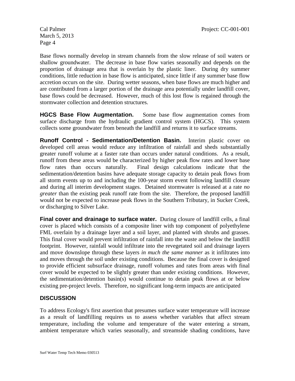Base flows normally develop in stream channels from the slow release of soil waters or shallow groundwater. The decrease in base flow varies seasonally and depends on the proportion of drainage area that is overlain by the plastic liner. During dry summer conditions, little reduction in base flow is anticipated, since little if any summer base flow accretion occurs on the site. During wetter seasons, when base flows are much higher and are contributed from a larger portion of the drainage area potentially under landfill cover, base flows could be decreased. However, much of this lost flow is regained through the stormwater collection and detention structures.

**HGCS Base Flow Augmentation.** Some base flow augmentation comes from surface discharge from the hydraulic gradient control system (HGCS). This system collects some groundwater from beneath the landfill and returns it to surface streams.

**Runoff Control - Sedimentation/Detention Basin.** Interim plastic cover on developed cell areas would reduce any infiltration of rainfall and sheds substantially greater runoff volume at a faster rate than occurs under natural conditions. As a result, runoff from these areas would be characterized by higher peak flow rates and lower base flow rates than occurs naturally. Final design calculations indicate that the sedimentation/detention basins have adequate storage capacity to detain peak flows from all storm events up to and including the 100-year storm event following landfill closure and during all interim development stages. Detained stormwater is released at a rate *no greater* than the existing peak runoff rate from the site. Therefore, the proposed landfill would not be expected to increase peak flows in the Southern Tributary, in Sucker Creek, or discharging to Silver Lake.

**Final cover and drainage to surface water.** During closure of landfill cells, a final cover is placed which consists of a composite liner with top component of polyethylene FML overlain by a drainage layer and a soil layer, and planted with shrubs and grasses. This final cover would prevent infiltration of rainfall into the waste and below the landfill footprint. However, rainfall would infiltrate into the revegetated soil and drainage layers and move downslope through these layers *in much the same manner* as it infiltrates into and moves through the soil under existing conditions. Because the final cover is designed to provide efficient subsurface drainage, runoff volumes and rates from areas with final cover would be expected to be slightly greater than under existing conditions. However, the sedimentation/detention basin(s) would continue to detain peak flows at or below existing pre-project levels. Therefore, no significant long-term impacts are anticipated

### **DISCUSSION**

To address Ecology's first assertion that presumes surface water temperature will increase as a result of landfilling requires us to assess whether variables that affect stream temperature, including the volume and temperature of the water entering a stream, ambient temperature which varies seasonally, and streamside shading conditions, have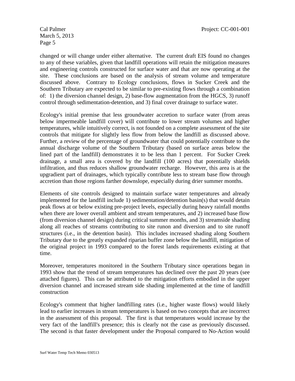changed or will change under either alternative. The current draft EIS found no changes to any of these variables, given that landfill operations will retain the mitigation measures and engineering controls constructed for surface water and that are now operating at the site. These conclusions are based on the analysis of stream volume and temperature discussed above. Contrary to Ecology conclusions, flows in Sucker Creek and the Southern Tributary are expected to be similar to pre-existing flows through a combination of: 1) the diversion channel design, 2) base-flow augmentation from the HGCS, 3) runoff control through sedimentation-detention, and 3) final cover drainage to surface water.

Ecology's initial premise that less groundwater accretion to surface water (from areas below impermeable landfill cover) will contribute to lower stream volumes and higher temperatures, while intuitively correct, is not founded on a complete assessment of the site controls that mitigate for slightly less flow from below the landfill as discussed above. Further, a review of the percentage of groundwater that could potentially contribute to the annual discharge volume of the Southern Tributary (based on surface areas below the lined part of the landfill) demonstrates it to be less than 1 percent. For Sucker Creek drainage, a small area is covered by the landfill (100 acres) that potentially shields infiltration, and thus reduces shallow groundwater recharge. However, this area is at the upgradient part of drainages, which typically contribute less to stream base flow through accretion than those regions farther downslope, especially during drier summer months.

Elements of site controls designed to maintain surface water temperatures and already implemented for the landfill include 1) sedimentation/detention basin(s) that would detain peak flows at or below existing pre-project levels, especially during heavy rainfall months when there are lower overall ambient and stream temperatures, and 2) increased base flow (from diversion channel design) during critical summer months, and 3) streamside shading along all reaches of streams contributing to site runon and diversion and to site runoff structures (i.e., in the detention basin). This includes increased shading along Southern Tributary due to the greatly expanded riparian buffer zone below the landfill, mitigation of the original project in 1993 compared to the forest lands requirements existing at that time.

Moreover, temperatures monitored in the Southern Tributary since operations began in 1993 show that the trend of stream temperatures has declined over the past 20 years (see attached figures). This can be attributed to the mitigation efforts embodied in the upper diversion channel and increased stream side shading implemented at the time of landfill construction

Ecology's comment that higher landfilling rates (i.e., higher waste flows) would likely lead to earlier increases in stream temperatures is based on two concepts that are incorrect in the assessment of this proposal. The first is that temperatures would increase by the very fact of the landfill's presence; this is clearly not the case as previously discussed. The second is that faster development under the Proposal compared to No-Action would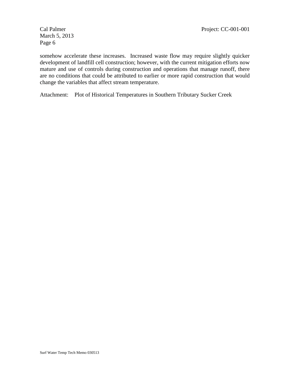somehow accelerate these increases. Increased waste flow may require slightly quicker development of landfill cell construction; however, with the current mitigation efforts now mature and use of controls during construction and operations that manage runoff, there are no conditions that could be attributed to earlier or more rapid construction that would change the variables that affect stream temperature.

Attachment: Plot of Historical Temperatures in Southern Tributary Sucker Creek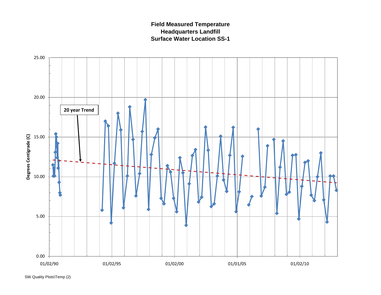## **Field Measured Temperature Headquarters Landfill Surface Water Location SS-1**

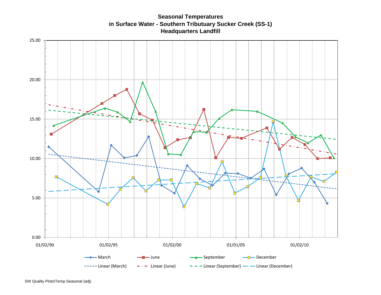**Seasonal Temperatures in Surface Water - Southern Tributuary Sucker Creek (SS-1) Headquarters Landfill**

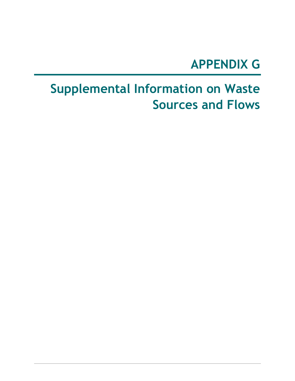## **APPENDIX G**

# **Supplemental Information on Waste Sources and Flows**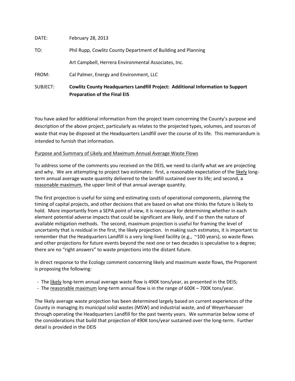|          | <b>Preparation of the Final EIS</b>                                             |
|----------|---------------------------------------------------------------------------------|
| SUBJECT: | Cowlitz County Headquarters Landfill Project: Additional Information to Support |
| FROM:    | Cal Palmer, Energy and Environment, LLC                                         |
|          | Art Campbell, Herrera Environmental Associates, Inc.                            |
| TO:      | Phil Rupp, Cowlitz County Department of Building and Planning                   |
| DATE:    | February 28, 2013                                                               |

You have asked for additional information from the project team concerning the County's purpose and description of the above project, particularly as relates to the projected types, volumes, and sources of waste that may be disposed at the Headquarters Landfill over the course of its life. This memorandum is intended to furnish that information.

### Purpose and Summary of Likely and Maximum Annual Average Waste Flows

To address some of the comments you received on the DEIS, we need to clarify what we are projecting and why. We are attempting to project two estimates: first, a reasonable expectation of the likely longterm annual average waste quantity delivered to the landfill sustained over its life; and second, a reasonable maximum, the upper limit of that annual average quantity.

The first projection is useful for sizing and estimating costs of operational components, planning the timing of capital projects, and other decisions that are based on what one thinks the future is likely to hold. More importantly from a SEPA point of view, it is necessary for determining whether in each element potential adverse impacts that could be significant are likely, and if so then the nature of available mitigation methods. The second, maximum projection is useful for framing the level of uncertainty that is residual in the first, the likely projection. In making such estimates, it is important to remember that the Headquarters Landfill is a very long-lived facility (e.g., ~100 years), so waste flows and other projections for future events beyond the next one or two decades is speculative to a degree; there are no "right answers" to waste projections into the distant future.

In direct response to the Ecology comment concerning likely and maximum waste flows, the Proponent is proposing the following:

- The likely long-term annual average waste flow is 490K tons/year, as presented in the DEIS;
- The reasonable maximum long-term annual flow is in the range of 600K 700K tons/year.

The likely average waste projection has been determined largely based on current experiences of the County in managing its municipal solid wastes (MSW) and industrial waste, and of Weyerhaeuser through operating the Headquarters Landfill for the past twenty years. We summarize below some of the considerations that build that projection of 490K tons/year sustained over the long-term. Further detail is provided in the DEIS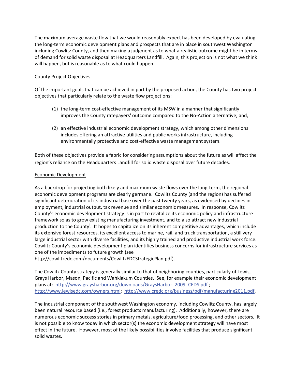The maximum average waste flow that we would reasonably expect has been developed by evaluating the long-term economic development plans and prospects that are in place in southwest Washington including Cowlitz County, and then making a judgment as to what a realistic outcome might be in terms of demand for solid waste disposal at Headquarters Landfill. Again, this projection is not what we think will happen, but is reasonable as to what could happen.

### County Project Objectives

Of the important goals that can be achieved in part by the proposed action, the County has two project objectives that particularly relate to the waste flow projections:

- (1) the long-term cost-effective management of its MSW in a manner that significantly improves the County ratepayers' outcome compared to the No-Action alternative; and,
- (2) an effective industrial economic development strategy, which among other dimensions includes offering an attractive utilities and public works infrastructure, including environmentally protective and cost-effective waste management system.

Both of these objectives provide a fabric for considering assumptions about the future as will affect the region's reliance on the Headquarters Landfill for solid waste disposal over future decades.

### Economic Development

As a backdrop for projecting both likely and maximum waste flows over the long-term, the regional economic development programs are clearly germane. Cowlitz County (and the region) has suffered significant deterioration of its industrial base over the past twenty years, as evidenced by declines in employment, industrial output, tax revenue and similar economic measures. In response, Cowlitz County's economic development strategy is in part to revitalize its economic policy and infrastructure framework so as to grow existing manufacturing investment, and to also attract new industrial production to the County<sup>i</sup>. It hopes to capitalize on its inherent competitive advantages, which include its extensive forest resources, its excellent access to marine, rail, and truck transportation, a still very large industrial sector with diverse facilities, and its highly trained and productive industrial work force. Cowlitz County's economic development plan identifies business concerns for infrastructure services as one of the impediments to future growth (see

http://cowlitzedc.com/documents/CowlitzEDCStrategicPlan.pdf).

The Cowlitz County strategy is generally similar to that of neighboring counties, particularly of Lewis, Grays Harbor, Mason, Pacific and Wahkiakum Counties. See, for example their economic development plans at: http://www.graysharbor.org/downloads/GraysHarbor\_2009\_CEDS.pdf ; http://www.lewisedc.com/owners.html; http://www.credc.org/business/pdf/manufacturing2011.pdf.

The industrial component of the southwest Washington economy, including Cowlitz County, has largely been natural resource based (i.e., forest products manufacturing). Additionally, however, there are numerous economic success stories in primary metals, agriculture/food processing, and other sectors. It is not possible to know today in which sector(s) the economic development strategy will have most effect in the future. However, most of the likely possibilities involve facilities that produce significant solid wastes.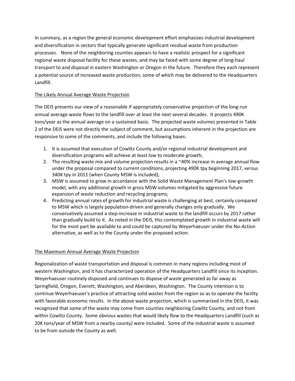In summary, as a region the general economic development effort emphasizes industrial development and diversification in sectors that typically generate significant residual waste from production processes. None of the neighboring counties appears to have a realistic prospect for a significant regional waste disposal facility for these wastes, and may be faced with some degree of long-haul transport to and disposal in eastern Washington or Oregon in the future. Therefore they each represent a potential source of increased waste production, some of which may be delivered to the Headquarters Landfill.

### The Likely Annual Average Waste Projection

The DEIS presents our view of a reasonable if appropriately conservative projection of the long-run annual average waste flows to the landfill over at least the next several decades. It projects 490K tons/year as the annual average on a sustained basis. The projected waste volumes presented in Table 2 of the DEIS were not directly the subject of comment, but assumptions inherent in the projection are responsive to some of the comments, and include the following bases:

- 1. It is assumed that execution of Cowlitz County and/or regional industrial development and diversification programs will achieve at least low to moderate growth;
- 2. The resulting waste mix and volume projection results in a ~40% increase in average annual flow under the proposal compared to current conditions, projecting 490K tpy beginning 2017, versus 340K tpy in 2011 (when County MSW is included);
- 3. MSW is assumed to grow in accordance with the Solid Waste Management Plan's low-growth model, with any additional growth in gross MSW volumes mitigated by aggressive future expansion of waste reduction and recycling programs;
- 4. Predicting annual rates of growth for industrial waste is challenging at best, certainly compared to MSW which is largely population-driven and generally changes only gradually. We conservatively assumed a step-increase in industrial waste to the landfill occurs by 2017 rather than gradually build to it. As noted in the DEIS, this contemplated growth in industrial waste will for the most part be available to and could be captured by Weyerhaeuser under the No-Action alternative, as well as to the County under the proposed action.

### The Maximum Annual Average Waste Projection

Regionalization of waste transportation and disposal is common in many regions including most of western Washington, and it has characterized operation of the Headquarters Landfill since its inception. Weyerhaeuser routinely disposed and continues to dispose of waste generated as far away as Springfield, Oregon, Everett, Washington, and Aberdeen, Washington. The County intention is to continue Weyerhaeuser's practice of attracting solid wastes from the region so as to operate the facility with favorable economic results. In the above waste projection, which is summarized in the DEIS, it was recognized that some of the waste may come from counties neighboring Cowlitz County, and not from within Cowlitz County. Some obvious wastes that would likely flow to the Headquarters Landfill (such as 20K tons/year of MSW from a nearby county) were included. Some of the industrial waste is assumed to be from outside the County as well.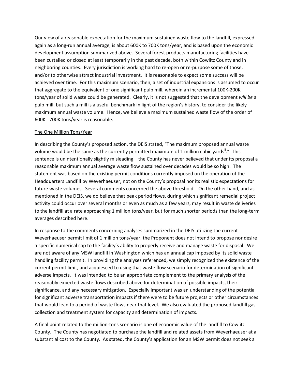Our view of a reasonable expectation for the maximum sustained waste flow to the landfill, expressed again as a long-run annual average, is about 600K to 700K tons/year, and is based upon the economic development assumption summarized above. Several forest products manufacturing facilities have been curtailed or closed at least temporarily in the past decade, both within Cowlitz County and in neighboring counties. Every jurisdiction is working hard to re-open or re-purpose some of those, and/or to otherwise attract industrial investment. It is reasonable to expect some success will be achieved over time. For this maximum scenario, then, a set of industrial expansions is assumed to occur that aggregate to the equivalent of one significant pulp mill, wherein an incremental 100K-200K tons/year of solid waste could be generated. Clearly, it is not suggested that the development *will be* a pulp mill, but such a mill is a useful benchmark in light of the region's history, to consider the likely maximum annual waste volume. Hence, we believe a maximum sustained waste flow of the order of 600K - 700K tons/year is reasonable.

#### The One Million Tons/Year

In describing the County's proposed action, the DEIS stated, "The maximum proposed annual waste volume would be the same as the currently permitted maximum of 1 million cubic yards"." This sentence is unintentionally slightly misleading – the County has never believed that under its proposal a reasonable maximum annual average waste flow sustained over decades would be so high. The statement was based on the existing permit conditions currently imposed on the operation of the Headquarters Landfill by Weyerhaeuser, not on the County's proposal nor its realistic expectations for future waste volumes. Several comments concerned the above threshold. On the other hand, and as mentioned in the DEIS, we do believe that peak period flows, during which significant remedial project activity could occur over several months or even as much as a few years, may result in waste deliveries to the landfill at a rate approaching 1 million tons/year, but for much shorter periods than the long-term averages described here.

In response to the comments concerning analyses summarized in the DEIS utilizing the current Weyerhaeuser permit limit of 1 million tons/year, the Proponent does not intend to propose nor desire a specific numerical cap to the facility's ability to properly receive and manage waste for disposal. We are not aware of any MSW landfill in Washington which has an annual cap imposed by its solid waste handling facility permit. In providing the analyses referenced, we simply recognized the existence of the current permit limit, and acquiesced to using that waste flow scenario for determination of significant adverse impacts. It was intended to be an appropriate complement to the primary analysis of the reasonably expected waste flows described above for determination of possible impacts, their significance, and any necessary mitigation. Especially important was an understanding of the potential for significant adverse transportation impacts if there were to be future projects or other circumstances that would lead to a period of waste flows near that level. We also evaluated the proposed landfill gas collection and treatment system for capacity and determination of impacts.

A final point related to the million-tons scenario is one of economic value of the landfill to Cowlitz County. The County has negotiated to purchase the landfill and related assets from Weyerhaeuser at a substantial cost to the County. As stated, the County's application for an MSW permit does not seek a